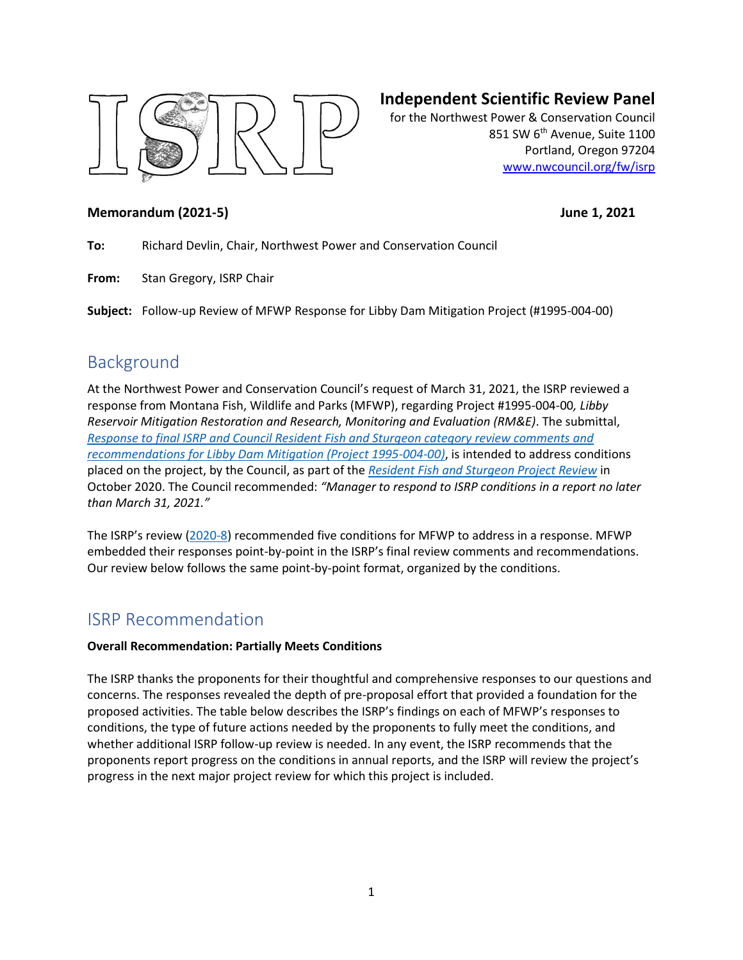

## **Independent Scientific Review Panel**

for the Northwest Power & Conservation Council 851 SW 6<sup>th</sup> Avenue, Suite 1100 Portland, Oregon 97204 [www.nwcouncil.org/fw/isrp](http://www.nwcouncil.org/fw/isrp)

### **Memorandum (2021-5) June 1, 2021**

**To:** Richard Devlin, Chair, Northwest Power and Conservation Council

**From:** Stan Gregory, ISRP Chair

**Subject:** Follow-up Review of MFWP Response for Libby Dam Mitigation Project (#1995-004-00)

## Background

At the Northwest Power and Conservation Council's request of March 31, 2021, the ISRP reviewed a response from Montana Fish, Wildlife and Parks (MFWP), regarding Project #1995-004-00*, Libby Reservoir Mitigation Restoration and Research, Monitoring and Evaluation (RM&E)*. The submittal, *[Response to final ISRP and Council Resident Fish and Sturgeon category review comments and](https://nwcouncil.box.com/s/9kv5a1ws70qy8xq7wlgpz9fhpcsbph7c)  [recommendations for Libby Dam Mitigation \(Project 1995-004-00\)](https://nwcouncil.box.com/s/9kv5a1ws70qy8xq7wlgpz9fhpcsbph7c)*, is intended to address conditions placed on the project, by the Council, as part of the *[Resident Fish and Sturgeon Project Review](https://nwcouncil.app.box.com/file/734780879448?s=wms1iyy39pbspiva5b4uwtwovvqqfgh1)* in October 2020. The Council recommended: *"Manager to respond to ISRP conditions in a report no later than March 31, 2021."*

The ISRP's review [\(2020-8\)](https://www.nwcouncil.org/reports/isrp-final-report-category-review-resident-fish-and-sturgeon-projects) recommended five conditions for MFWP to address in a response. MFWP embedded their responses point-by-point in the ISRP's final review comments and recommendations. Our review below follows the same point-by-point format, organized by the conditions.

## ISRP Recommendation

### **Overall Recommendation: Partially Meets Conditions**

The ISRP thanks the proponents for their thoughtful and comprehensive responses to our questions and concerns. The responses revealed the depth of pre-proposal effort that provided a foundation for the proposed activities. The table below describes the ISRP's findings on each of MFWP's responses to conditions, the type of future actions needed by the proponents to fully meet the conditions, and whether additional ISRP follow-up review is needed. In any event, the ISRP recommends that the proponents report progress on the conditions in annual reports, and the ISRP will review the project's progress in the next major project review for which this project is included.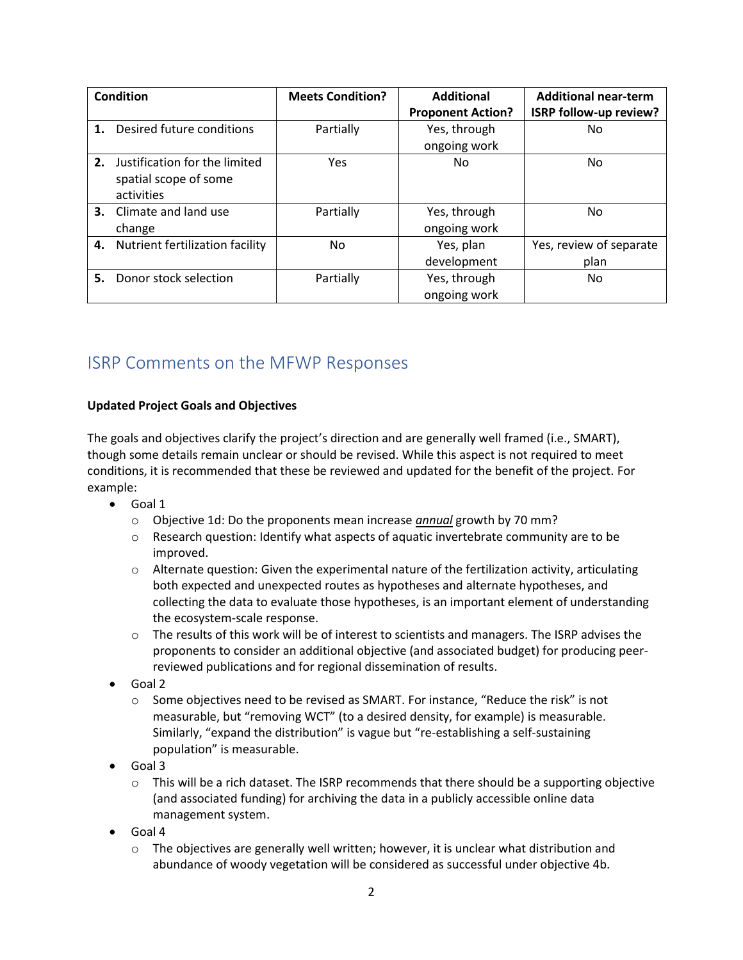| Condition |                                                                      | <b>Meets Condition?</b> | <b>Additional</b>            | <b>Additional near-term</b>     |
|-----------|----------------------------------------------------------------------|-------------------------|------------------------------|---------------------------------|
|           |                                                                      |                         | <b>Proponent Action?</b>     | ISRP follow-up review?          |
| 1.        | Desired future conditions                                            | Partially               | Yes, through                 | No                              |
|           |                                                                      |                         | ongoing work                 |                                 |
| 2.        | Justification for the limited<br>spatial scope of some<br>activities | Yes                     | No                           | No.                             |
|           | <b>3.</b> Climate and land use<br>change                             | Partially               | Yes, through<br>ongoing work | No.                             |
| 4.        | Nutrient fertilization facility                                      | No.                     | Yes, plan<br>development     | Yes, review of separate<br>plan |
| 5.        | Donor stock selection                                                | Partially               | Yes, through<br>ongoing work | No.                             |

# ISRP Comments on the MFWP Responses

### **Updated Project Goals and Objectives**

The goals and objectives clarify the project's direction and are generally well framed (i.e., SMART), though some details remain unclear or should be revised. While this aspect is not required to meet conditions, it is recommended that these be reviewed and updated for the benefit of the project. For example:

- Goal 1
	- o Objective 1d: Do the proponents mean increase *annual* growth by 70 mm?
	- $\circ$  Research question: Identify what aspects of aquatic invertebrate community are to be improved.
	- $\circ$  Alternate question: Given the experimental nature of the fertilization activity, articulating both expected and unexpected routes as hypotheses and alternate hypotheses, and collecting the data to evaluate those hypotheses, is an important element of understanding the ecosystem-scale response.
	- $\circ$  The results of this work will be of interest to scientists and managers. The ISRP advises the proponents to consider an additional objective (and associated budget) for producing peerreviewed publications and for regional dissemination of results.
- Goal 2
	- o Some objectives need to be revised as SMART. For instance, "Reduce the risk" is not measurable, but "removing WCT" (to a desired density, for example) is measurable. Similarly, "expand the distribution" is vague but "re-establishing a self-sustaining population" is measurable.
- Goal 3
	- $\circ$  This will be a rich dataset. The ISRP recommends that there should be a supporting objective (and associated funding) for archiving the data in a publicly accessible online data management system.
- Goal 4
	- $\circ$  The objectives are generally well written; however, it is unclear what distribution and abundance of woody vegetation will be considered as successful under objective 4b.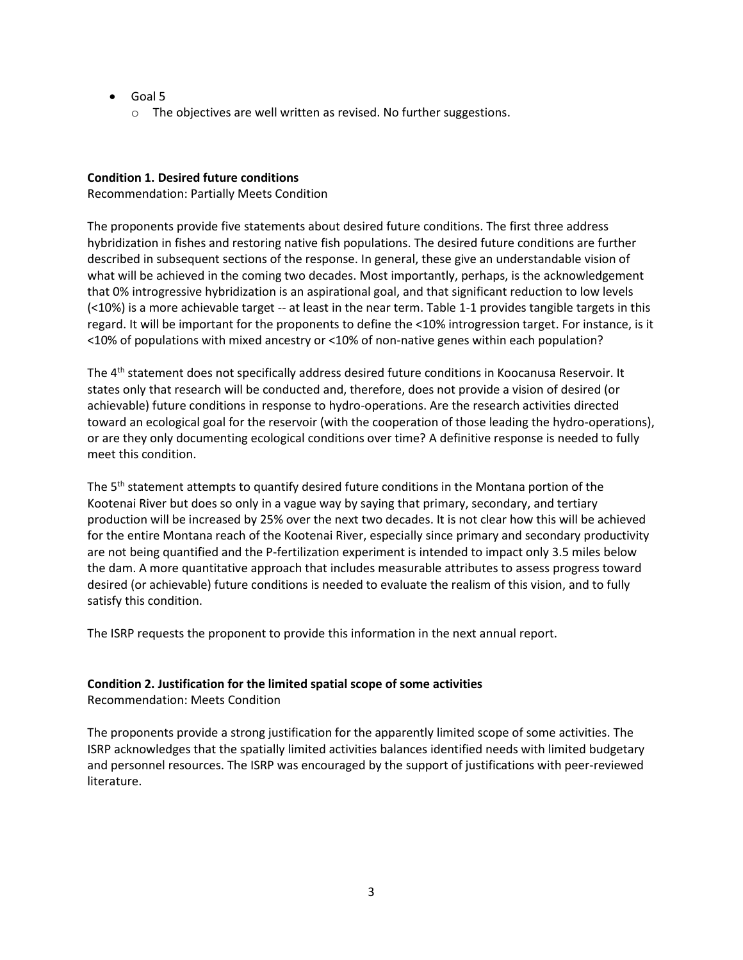- Goal 5
	- o The objectives are well written as revised. No further suggestions.

### **Condition 1. Desired future conditions**

Recommendation: Partially Meets Condition

The proponents provide five statements about desired future conditions. The first three address hybridization in fishes and restoring native fish populations. The desired future conditions are further described in subsequent sections of the response. In general, these give an understandable vision of what will be achieved in the coming two decades. Most importantly, perhaps, is the acknowledgement that 0% introgressive hybridization is an aspirational goal, and that significant reduction to low levels (<10%) is a more achievable target -- at least in the near term. Table 1-1 provides tangible targets in this regard. It will be important for the proponents to define the <10% introgression target. For instance, is it <10% of populations with mixed ancestry or <10% of non-native genes within each population?

The 4<sup>th</sup> statement does not specifically address desired future conditions in Koocanusa Reservoir. It states only that research will be conducted and, therefore, does not provide a vision of desired (or achievable) future conditions in response to hydro-operations. Are the research activities directed toward an ecological goal for the reservoir (with the cooperation of those leading the hydro-operations), or are they only documenting ecological conditions over time? A definitive response is needed to fully meet this condition.

The  $5<sup>th</sup>$  statement attempts to quantify desired future conditions in the Montana portion of the Kootenai River but does so only in a vague way by saying that primary, secondary, and tertiary production will be increased by 25% over the next two decades. It is not clear how this will be achieved for the entire Montana reach of the Kootenai River, especially since primary and secondary productivity are not being quantified and the P-fertilization experiment is intended to impact only 3.5 miles below the dam. A more quantitative approach that includes measurable attributes to assess progress toward desired (or achievable) future conditions is needed to evaluate the realism of this vision, and to fully satisfy this condition.

The ISRP requests the proponent to provide this information in the next annual report.

### **Condition 2. Justification for the limited spatial scope of some activities**

Recommendation: Meets Condition

The proponents provide a strong justification for the apparently limited scope of some activities. The ISRP acknowledges that the spatially limited activities balances identified needs with limited budgetary and personnel resources. The ISRP was encouraged by the support of justifications with peer-reviewed literature.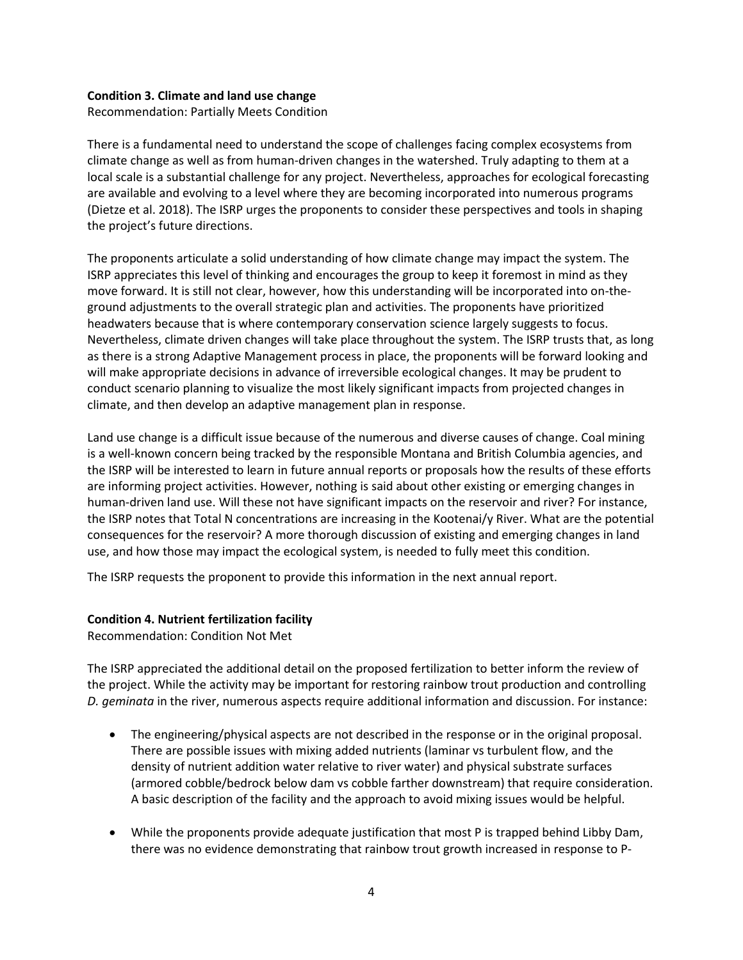#### **Condition 3. Climate and land use change**

Recommendation: Partially Meets Condition

There is a fundamental need to understand the scope of challenges facing complex ecosystems from climate change as well as from human-driven changes in the watershed. Truly adapting to them at a local scale is a substantial challenge for any project. Nevertheless, approaches for ecological forecasting are available and evolving to a level where they are becoming incorporated into numerous programs (Dietze et al. 2018). The ISRP urges the proponents to consider these perspectives and tools in shaping the project's future directions.

The proponents articulate a solid understanding of how climate change may impact the system. The ISRP appreciates this level of thinking and encourages the group to keep it foremost in mind as they move forward. It is still not clear, however, how this understanding will be incorporated into on-theground adjustments to the overall strategic plan and activities. The proponents have prioritized headwaters because that is where contemporary conservation science largely suggests to focus. Nevertheless, climate driven changes will take place throughout the system. The ISRP trusts that, as long as there is a strong Adaptive Management process in place, the proponents will be forward looking and will make appropriate decisions in advance of irreversible ecological changes. It may be prudent to conduct scenario planning to visualize the most likely significant impacts from projected changes in climate, and then develop an adaptive management plan in response.

Land use change is a difficult issue because of the numerous and diverse causes of change. Coal mining is a well-known concern being tracked by the responsible Montana and British Columbia agencies, and the ISRP will be interested to learn in future annual reports or proposals how the results of these efforts are informing project activities. However, nothing is said about other existing or emerging changes in human-driven land use. Will these not have significant impacts on the reservoir and river? For instance, the ISRP notes that Total N concentrations are increasing in the Kootenai/y River. What are the potential consequences for the reservoir? A more thorough discussion of existing and emerging changes in land use, and how those may impact the ecological system, is needed to fully meet this condition.

The ISRP requests the proponent to provide this information in the next annual report.

### **Condition 4. Nutrient fertilization facility**

Recommendation: Condition Not Met

The ISRP appreciated the additional detail on the proposed fertilization to better inform the review of the project. While the activity may be important for restoring rainbow trout production and controlling *D. geminata* in the river, numerous aspects require additional information and discussion. For instance:

- The engineering/physical aspects are not described in the response or in the original proposal. There are possible issues with mixing added nutrients (laminar vs turbulent flow, and the density of nutrient addition water relative to river water) and physical substrate surfaces (armored cobble/bedrock below dam vs cobble farther downstream) that require consideration. A basic description of the facility and the approach to avoid mixing issues would be helpful.
- While the proponents provide adequate justification that most P is trapped behind Libby Dam, there was no evidence demonstrating that rainbow trout growth increased in response to P-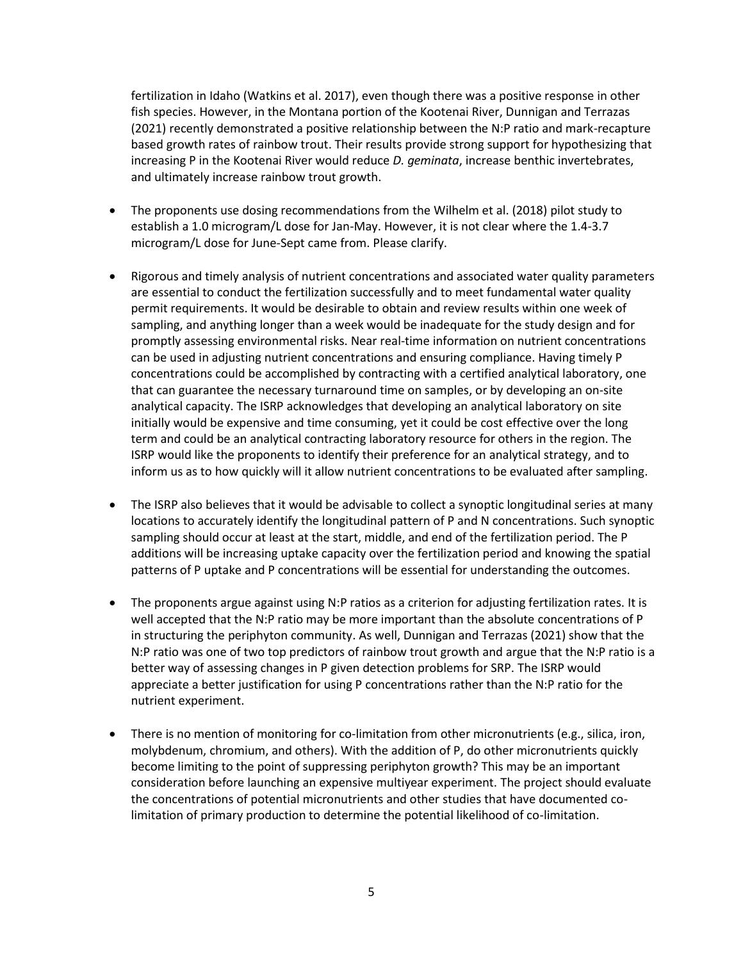fertilization in Idaho (Watkins et al. 2017), even though there was a positive response in other fish species. However, in the Montana portion of the Kootenai River, Dunnigan and Terrazas (2021) recently demonstrated a positive relationship between the N:P ratio and mark-recapture based growth rates of rainbow trout. Their results provide strong support for hypothesizing that increasing P in the Kootenai River would reduce *D. geminata*, increase benthic invertebrates, and ultimately increase rainbow trout growth.

- The proponents use dosing recommendations from the Wilhelm et al. (2018) pilot study to establish a 1.0 microgram/L dose for Jan-May. However, it is not clear where the 1.4-3.7 microgram/L dose for June-Sept came from. Please clarify.
- Rigorous and timely analysis of nutrient concentrations and associated water quality parameters are essential to conduct the fertilization successfully and to meet fundamental water quality permit requirements. It would be desirable to obtain and review results within one week of sampling, and anything longer than a week would be inadequate for the study design and for promptly assessing environmental risks. Near real-time information on nutrient concentrations can be used in adjusting nutrient concentrations and ensuring compliance. Having timely P concentrations could be accomplished by contracting with a certified analytical laboratory, one that can guarantee the necessary turnaround time on samples, or by developing an on-site analytical capacity. The ISRP acknowledges that developing an analytical laboratory on site initially would be expensive and time consuming, yet it could be cost effective over the long term and could be an analytical contracting laboratory resource for others in the region. The ISRP would like the proponents to identify their preference for an analytical strategy, and to inform us as to how quickly will it allow nutrient concentrations to be evaluated after sampling.
- The ISRP also believes that it would be advisable to collect a synoptic longitudinal series at many locations to accurately identify the longitudinal pattern of P and N concentrations. Such synoptic sampling should occur at least at the start, middle, and end of the fertilization period. The P additions will be increasing uptake capacity over the fertilization period and knowing the spatial patterns of P uptake and P concentrations will be essential for understanding the outcomes.
- The proponents argue against using N:P ratios as a criterion for adjusting fertilization rates. It is well accepted that the N:P ratio may be more important than the absolute concentrations of P in structuring the periphyton community. As well, Dunnigan and Terrazas (2021) show that the N:P ratio was one of two top predictors of rainbow trout growth and argue that the N:P ratio is a better way of assessing changes in P given detection problems for SRP. The ISRP would appreciate a better justification for using P concentrations rather than the N:P ratio for the nutrient experiment.
- There is no mention of monitoring for co-limitation from other micronutrients (e.g., silica, iron, molybdenum, chromium, and others). With the addition of P, do other micronutrients quickly become limiting to the point of suppressing periphyton growth? This may be an important consideration before launching an expensive multiyear experiment. The project should evaluate the concentrations of potential micronutrients and other studies that have documented colimitation of primary production to determine the potential likelihood of co-limitation.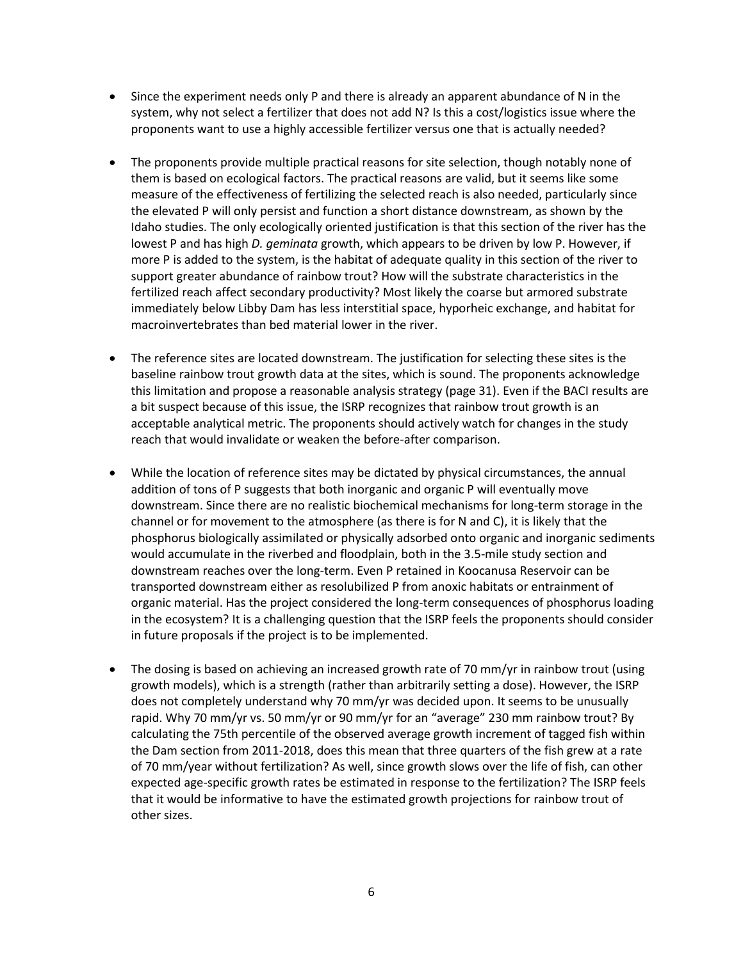- Since the experiment needs only P and there is already an apparent abundance of N in the system, why not select a fertilizer that does not add N? Is this a cost/logistics issue where the proponents want to use a highly accessible fertilizer versus one that is actually needed?
- The proponents provide multiple practical reasons for site selection, though notably none of them is based on ecological factors. The practical reasons are valid, but it seems like some measure of the effectiveness of fertilizing the selected reach is also needed, particularly since the elevated P will only persist and function a short distance downstream, as shown by the Idaho studies. The only ecologically oriented justification is that this section of the river has the lowest P and has high *D. geminata* growth, which appears to be driven by low P. However, if more P is added to the system, is the habitat of adequate quality in this section of the river to support greater abundance of rainbow trout? How will the substrate characteristics in the fertilized reach affect secondary productivity? Most likely the coarse but armored substrate immediately below Libby Dam has less interstitial space, hyporheic exchange, and habitat for macroinvertebrates than bed material lower in the river.
- The reference sites are located downstream. The justification for selecting these sites is the baseline rainbow trout growth data at the sites, which is sound. The proponents acknowledge this limitation and propose a reasonable analysis strategy (page 31). Even if the BACI results are a bit suspect because of this issue, the ISRP recognizes that rainbow trout growth is an acceptable analytical metric. The proponents should actively watch for changes in the study reach that would invalidate or weaken the before-after comparison.
- While the location of reference sites may be dictated by physical circumstances, the annual addition of tons of P suggests that both inorganic and organic P will eventually move downstream. Since there are no realistic biochemical mechanisms for long-term storage in the channel or for movement to the atmosphere (as there is for N and C), it is likely that the phosphorus biologically assimilated or physically adsorbed onto organic and inorganic sediments would accumulate in the riverbed and floodplain, both in the 3.5-mile study section and downstream reaches over the long-term. Even P retained in Koocanusa Reservoir can be transported downstream either as resolubilized P from anoxic habitats or entrainment of organic material. Has the project considered the long-term consequences of phosphorus loading in the ecosystem? It is a challenging question that the ISRP feels the proponents should consider in future proposals if the project is to be implemented.
- The dosing is based on achieving an increased growth rate of 70 mm/yr in rainbow trout (using growth models), which is a strength (rather than arbitrarily setting a dose). However, the ISRP does not completely understand why 70 mm/yr was decided upon. It seems to be unusually rapid. Why 70 mm/yr vs. 50 mm/yr or 90 mm/yr for an "average" 230 mm rainbow trout? By calculating the 75th percentile of the observed average growth increment of tagged fish within the Dam section from 2011-2018, does this mean that three quarters of the fish grew at a rate of 70 mm/year without fertilization? As well, since growth slows over the life of fish, can other expected age-specific growth rates be estimated in response to the fertilization? The ISRP feels that it would be informative to have the estimated growth projections for rainbow trout of other sizes.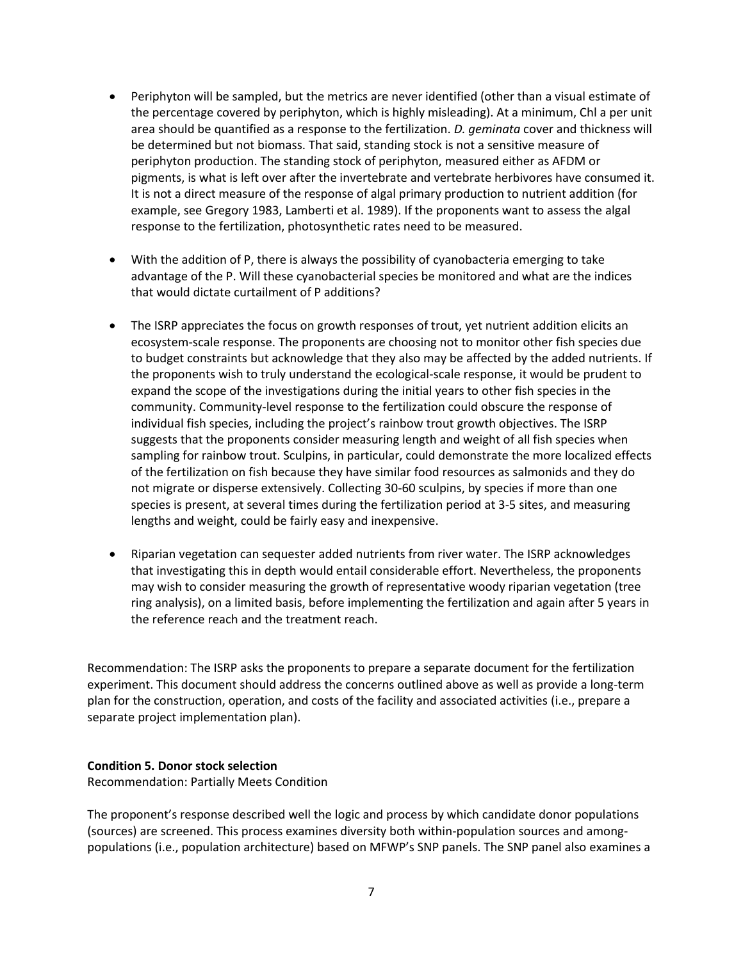- Periphyton will be sampled, but the metrics are never identified (other than a visual estimate of the percentage covered by periphyton, which is highly misleading). At a minimum, Chl a per unit area should be quantified as a response to the fertilization. *D. geminata* cover and thickness will be determined but not biomass. That said, standing stock is not a sensitive measure of periphyton production. The standing stock of periphyton, measured either as AFDM or pigments, is what is left over after the invertebrate and vertebrate herbivores have consumed it. It is not a direct measure of the response of algal primary production to nutrient addition (for example, see Gregory 1983, Lamberti et al. 1989). If the proponents want to assess the algal response to the fertilization, photosynthetic rates need to be measured.
- With the addition of P, there is always the possibility of cyanobacteria emerging to take advantage of the P. Will these cyanobacterial species be monitored and what are the indices that would dictate curtailment of P additions?
- The ISRP appreciates the focus on growth responses of trout, yet nutrient addition elicits an ecosystem-scale response. The proponents are choosing not to monitor other fish species due to budget constraints but acknowledge that they also may be affected by the added nutrients. If the proponents wish to truly understand the ecological-scale response, it would be prudent to expand the scope of the investigations during the initial years to other fish species in the community. Community-level response to the fertilization could obscure the response of individual fish species, including the project's rainbow trout growth objectives. The ISRP suggests that the proponents consider measuring length and weight of all fish species when sampling for rainbow trout. Sculpins, in particular, could demonstrate the more localized effects of the fertilization on fish because they have similar food resources as salmonids and they do not migrate or disperse extensively. Collecting 30-60 sculpins, by species if more than one species is present, at several times during the fertilization period at 3-5 sites, and measuring lengths and weight, could be fairly easy and inexpensive.
- Riparian vegetation can sequester added nutrients from river water. The ISRP acknowledges that investigating this in depth would entail considerable effort. Nevertheless, the proponents may wish to consider measuring the growth of representative woody riparian vegetation (tree ring analysis), on a limited basis, before implementing the fertilization and again after 5 years in the reference reach and the treatment reach.

Recommendation: The ISRP asks the proponents to prepare a separate document for the fertilization experiment. This document should address the concerns outlined above as well as provide a long-term plan for the construction, operation, and costs of the facility and associated activities (i.e., prepare a separate project implementation plan).

#### **Condition 5. Donor stock selection**

Recommendation: Partially Meets Condition

The proponent's response described well the logic and process by which candidate donor populations (sources) are screened. This process examines diversity both within-population sources and amongpopulations (i.e., population architecture) based on MFWP's SNP panels. The SNP panel also examines a